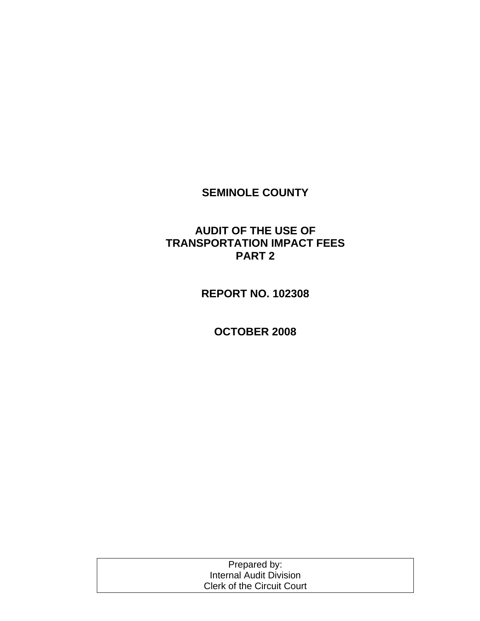# **SEMINOLE COUNTY**

## **AUDIT OF THE USE OF TRANSPORTATION IMPACT FEES PART 2**

**REPORT NO. 102308** 

**OCTOBER 2008** 

| Prepared by:                      |  |
|-----------------------------------|--|
| Internal Audit Division           |  |
| <b>Clerk of the Circuit Court</b> |  |
|                                   |  |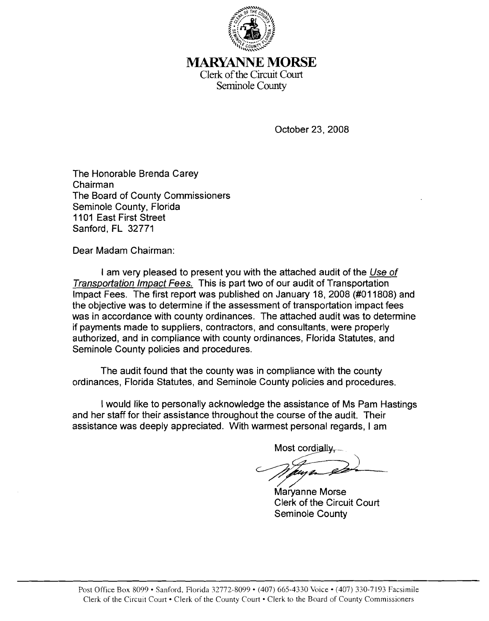

# MARYANNE **MORSE**

Clerk of the Circuit Court Seminole County

October 23,2008

The Honorable Brenda Carey Chairman The Board of County Commissioners Seminole County, Florida 1101 East First Street Sanford, FL 32771

Dear Madam Chairman:

I am very pleased to present you with the attached audit of the Use of Transportation Impact Fees. This is part two of our audit of Transportation Impact Fees. The first report was published on January 18, 2008 (#011808) and the objective was to determine if the assessment of transportation impact fees was in accordance with county ordinances. The attached audit was to determine if payments made to suppliers, contractors, and consultants, were properly authorized, and in compliance with county ordinances, Florida Statutes, and Seminole County policies and procedures.

The audit found that the county was in compliance with the county ordinances, Florida Statutes, and Seminole County policies and procedures.

I would like to personally acknowledge the assistance of Ms Pam Hastings and her staff for their assistance throughout the course of the audit. Their assistance was deeply appreciated. With warmest personal regards, I am

Most cordially.

Maryanne Morse Clerk of the Circuit Court Seminole County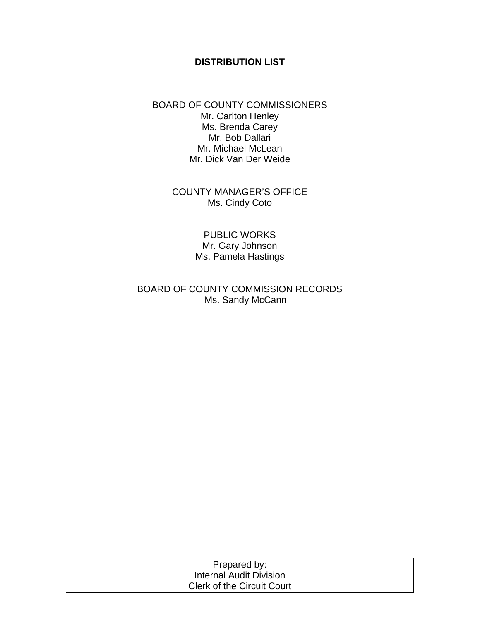#### **DISTRIBUTION LIST**

#### BOARD OF COUNTY COMMISSIONERS Mr. Carlton Henley Ms. Brenda Carey Mr. Bob Dallari Mr. Michael McLean Mr. Dick Van Der Weide

COUNTY MANAGER'S OFFICE Ms. Cindy Coto

> PUBLIC WORKS Mr. Gary Johnson Ms. Pamela Hastings

BOARD OF COUNTY COMMISSION RECORDS Ms. Sandy McCann

| Prepared by:                      |  |
|-----------------------------------|--|
| Internal Audit Division           |  |
| <b>Clerk of the Circuit Court</b> |  |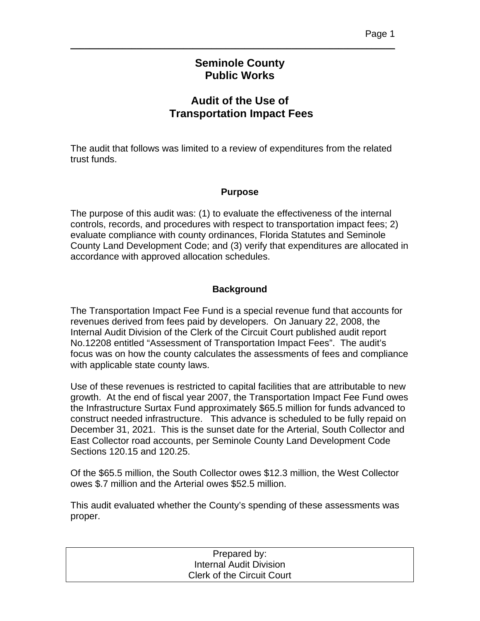### **Seminole County Public Works**

\_\_\_\_\_\_\_\_\_\_\_\_\_\_\_\_\_\_\_\_\_\_\_\_\_\_\_\_\_\_\_\_\_\_\_\_\_\_\_\_\_\_\_\_\_\_\_\_\_\_\_\_\_\_\_\_\_\_\_\_\_\_\_\_\_\_\_\_\_

### **Audit of the Use of Transportation Impact Fees**

The audit that follows was limited to a review of expenditures from the related trust funds.

### **Purpose**

The purpose of this audit was: (1) to evaluate the effectiveness of the internal controls, records, and procedures with respect to transportation impact fees; 2) evaluate compliance with county ordinances, Florida Statutes and Seminole County Land Development Code; and (3) verify that expenditures are allocated in accordance with approved allocation schedules.

### **Background**

The Transportation Impact Fee Fund is a special revenue fund that accounts for revenues derived from fees paid by developers. On January 22, 2008, the Internal Audit Division of the Clerk of the Circuit Court published audit report No.12208 entitled "Assessment of Transportation Impact Fees". The audit's focus was on how the county calculates the assessments of fees and compliance with applicable state county laws.

Use of these revenues is restricted to capital facilities that are attributable to new growth. At the end of fiscal year 2007, the Transportation Impact Fee Fund owes the Infrastructure Surtax Fund approximately \$65.5 million for funds advanced to construct needed infrastructure. This advance is scheduled to be fully repaid on December 31, 2021. This is the sunset date for the Arterial, South Collector and East Collector road accounts, per Seminole County Land Development Code Sections 120.15 and 120.25.

Of the \$65.5 million, the South Collector owes \$12.3 million, the West Collector owes \$.7 million and the Arterial owes \$52.5 million.

This audit evaluated whether the County's spending of these assessments was proper.

| Prepared by:                      |  |
|-----------------------------------|--|
| Internal Audit Division           |  |
| <b>Clerk of the Circuit Court</b> |  |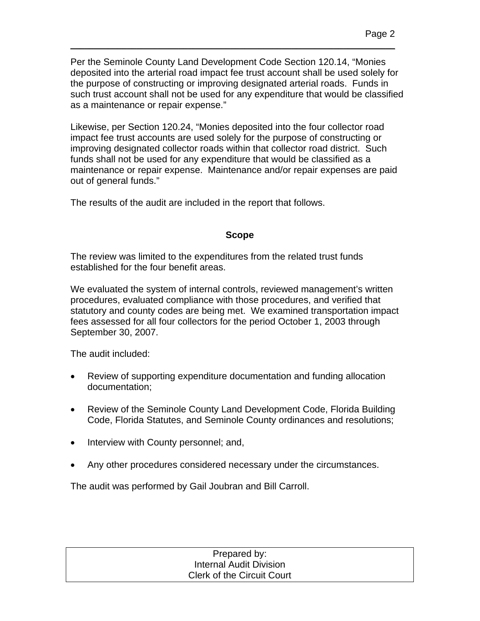Per the Seminole County Land Development Code Section 120.14, "Monies deposited into the arterial road impact fee trust account shall be used solely for the purpose of constructing or improving designated arterial roads. Funds in such trust account shall not be used for any expenditure that would be classified as a maintenance or repair expense."

\_\_\_\_\_\_\_\_\_\_\_\_\_\_\_\_\_\_\_\_\_\_\_\_\_\_\_\_\_\_\_\_\_\_\_\_\_\_\_\_\_\_\_\_\_\_\_\_\_\_\_\_\_\_\_\_\_\_\_\_\_\_\_\_\_\_\_\_\_

Likewise, per Section 120.24, "Monies deposited into the four collector road impact fee trust accounts are used solely for the purpose of constructing or improving designated collector roads within that collector road district. Such funds shall not be used for any expenditure that would be classified as a maintenance or repair expense. Maintenance and/or repair expenses are paid out of general funds."

The results of the audit are included in the report that follows.

### **Scope**

The review was limited to the expenditures from the related trust funds established for the four benefit areas.

We evaluated the system of internal controls, reviewed management's written procedures, evaluated compliance with those procedures, and verified that statutory and county codes are being met. We examined transportation impact fees assessed for all four collectors for the period October 1, 2003 through September 30, 2007.

The audit included:

- Review of supporting expenditure documentation and funding allocation documentation;
- Review of the Seminole County Land Development Code, Florida Building Code, Florida Statutes, and Seminole County ordinances and resolutions;
- Interview with County personnel; and,
- Any other procedures considered necessary under the circumstances.

The audit was performed by Gail Joubran and Bill Carroll.

| Prepared by:                      |  |
|-----------------------------------|--|
| <b>Internal Audit Division</b>    |  |
| <b>Clerk of the Circuit Court</b> |  |